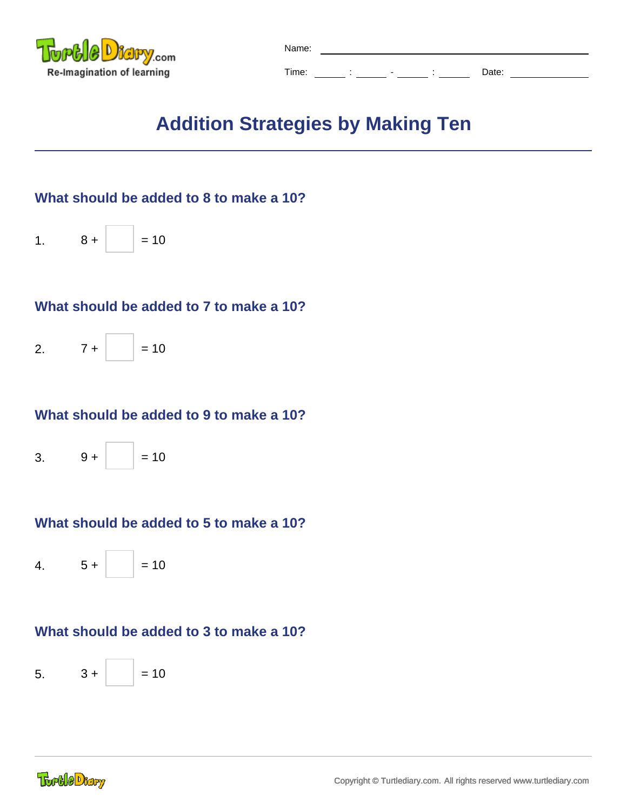

| Name: |        |                          |  |       |  |  |  |
|-------|--------|--------------------------|--|-------|--|--|--|
| Time: | ٠<br>٠ | $\overline{\phantom{0}}$ |  | Date: |  |  |  |

# **Addition Strategies by Making Ten**

# **What should be added to 8 to make a 10?**



#### **What should be added to 7 to make a 10?**

2.  $7 +$  = 10

#### **What should be added to 9 to make a 10?**



# **What should be added to 5 to make a 10?**

4.  $5 +$  = 10

# **What should be added to 3 to make a 10?**

 $5. \qquad 3 + |$  = 10

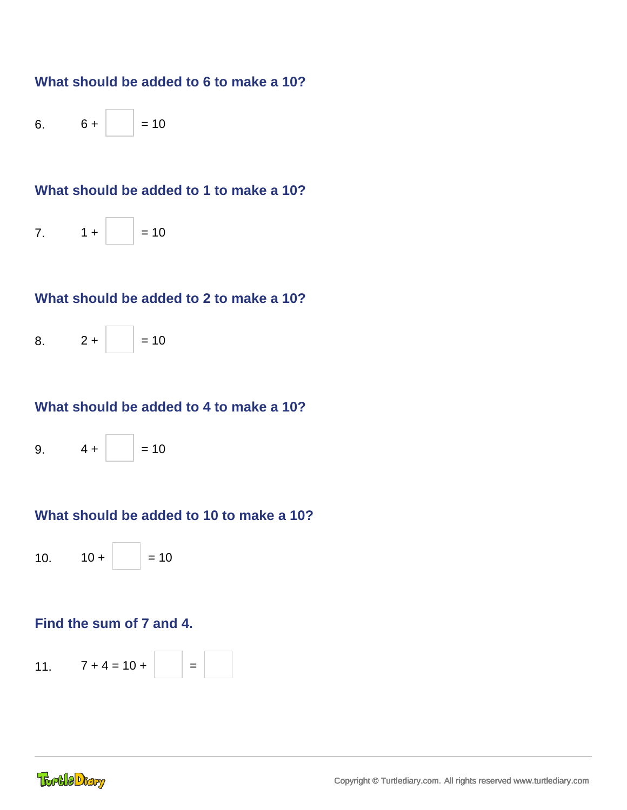#### **What should be added to 6 to make a 10?**

6.  $6 + |$  = 10

# **What should be added to 1 to make a 10?**

7.  $1 +$  = 10

#### **What should be added to 2 to make a 10?**



#### **What should be added to 4 to make a 10?**



#### **What should be added to 10 to make a 10?**

10.  $10 + \vert$  = 10

#### **Find the sum of 7 and 4.**